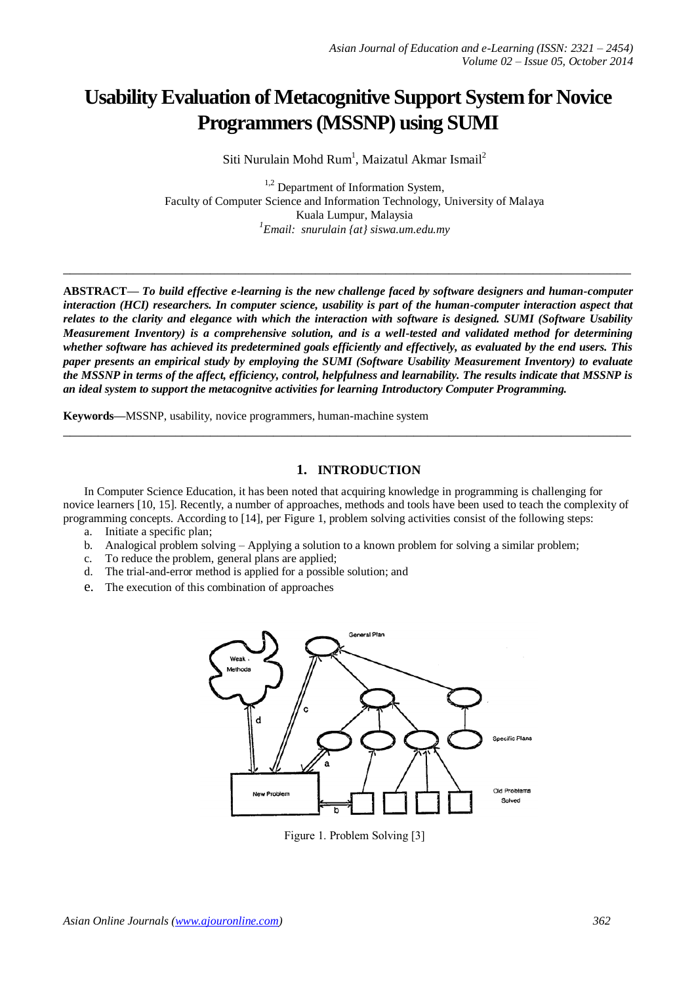# **Usability Evaluation of Metacognitive Support System for Novice Programmers (MSSNP) using SUMI**

Siti Nurulain Mohd Rum<sup>1</sup>, Maizatul Akmar Ismail<sup>2</sup>

 $1,2$  Department of Information System, Faculty of Computer Science and Information Technology, University of Malaya Kuala Lumpur, Malaysia *1 Email: snurulain {at} siswa.um.edu.my*

**ABSTRACT—** *To build effective e-learning is the new challenge faced by software designers and human-computer interaction (HCI) researchers. In computer science, usability is part of the human-computer interaction aspect that relates to the clarity and elegance with which the interaction with software is designed. SUMI (Software Usability Measurement Inventory) is a comprehensive solution, and is a well-tested and validated method for determining whether software has achieved its predetermined goals efficiently and effectively, as evaluated by the end users. This paper presents an empirical study by employing the SUMI (Software Usability Measurement Inventory) to evaluate the MSSNP in terms of the affect, efficiency, control, helpfulness and learnability. The results indicate that MSSNP is an ideal system to support the metacognitve activities for learning Introductory Computer Programming.*

**\_\_\_\_\_\_\_\_\_\_\_\_\_\_\_\_\_\_\_\_\_\_\_\_\_\_\_\_\_\_\_\_\_\_\_\_\_\_\_\_\_\_\_\_\_\_\_\_\_\_\_\_\_\_\_\_\_\_\_\_\_\_\_\_\_\_\_\_\_\_\_\_\_\_\_\_\_\_\_\_\_**

**Keywords—**MSSNP, usability, novice programmers, human-machine system

# **1. INTRODUCTION**

In Computer Science Education, it has been noted that acquiring knowledge in programming is challenging for novice learners [10, 15]. Recently, a number of approaches, methods and tools have been used to teach the complexity of programming concepts. According to [14], per Figure 1, problem solving activities consist of the following steps:

**\_\_\_\_\_\_\_\_\_\_\_\_\_\_\_\_\_\_\_\_\_\_\_\_\_\_\_\_\_\_\_\_\_\_\_\_\_\_\_\_\_\_\_\_\_\_\_\_\_\_\_\_\_\_\_\_\_\_\_\_\_\_\_\_\_\_\_\_\_\_\_\_\_\_\_\_\_\_\_\_\_**

- a. Initiate a specific plan;
- b. Analogical problem solving Applying a solution to a known problem for solving a similar problem;
- c. To reduce the problem, general plans are applied;
- d. The trial-and-error method is applied for a possible solution; and
- e. The execution of this combination of approaches



Figure 1. Problem Solving [3]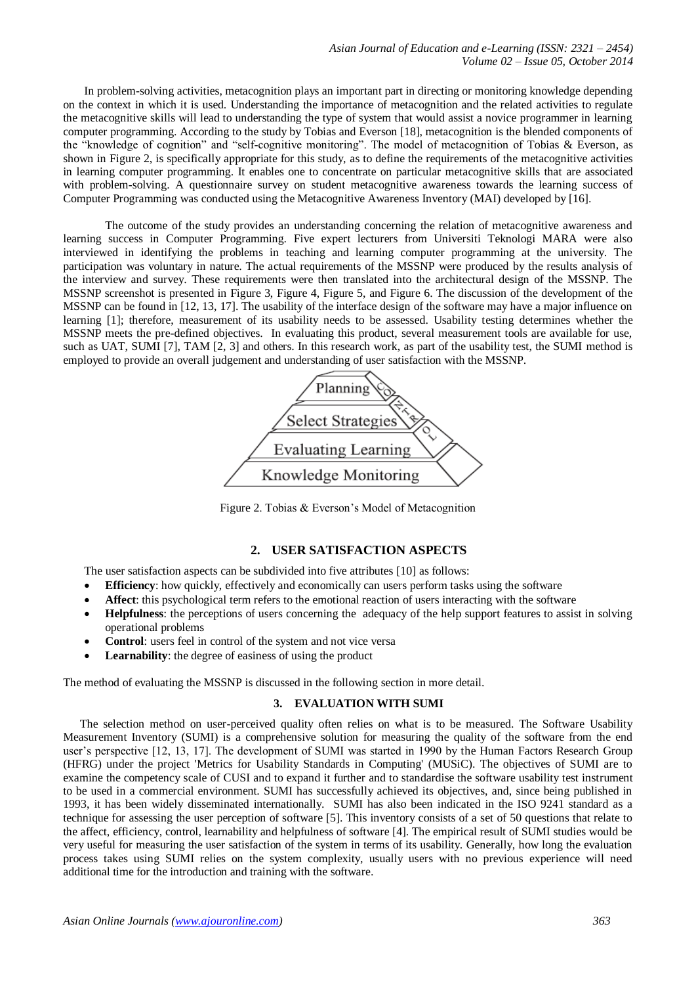In problem-solving activities, metacognition plays an important part in directing or monitoring knowledge depending on the context in which it is used. Understanding the importance of metacognition and the related activities to regulate the metacognitive skills will lead to understanding the type of system that would assist a novice programmer in learning computer programming. According to the study by Tobias and Everson [18], metacognition is the blended components of the "knowledge of cognition" and "self-cognitive monitoring". The model of metacognition of Tobias & Everson, as shown in Figure 2, is specifically appropriate for this study, as to define the requirements of the metacognitive activities in learning computer programming. It enables one to concentrate on particular metacognitive skills that are associated with problem-solving. A questionnaire survey on student metacognitive awareness towards the learning success of Computer Programming was conducted using the Metacognitive Awareness Inventory (MAI) developed by [16].

The outcome of the study provides an understanding concerning the relation of metacognitive awareness and learning success in Computer Programming. Five expert lecturers from Universiti Teknologi MARA were also interviewed in identifying the problems in teaching and learning computer programming at the university. The participation was voluntary in nature. The actual requirements of the MSSNP were produced by the results analysis of the interview and survey. These requirements were then translated into the architectural design of the MSSNP. The MSSNP screenshot is presented in Figure 3, Figure 4, Figure 5, and Figure 6. The discussion of the development of the MSSNP can be found in [12, 13, 17]. The usability of the interface design of the software may have a major influence on learning [1]; therefore, measurement of its usability needs to be assessed. Usability testing determines whether the MSSNP meets the pre-defined objectives. In evaluating this product, several measurement tools are available for use, such as UAT, SUMI [7], TAM [2, 3] and others. In this research work, as part of the usability test, the SUMI method is employed to provide an overall judgement and understanding of user satisfaction with the MSSNP.



Figure 2. Tobias & Everson's Model of Metacognition

## **2. USER SATISFACTION ASPECTS**

The user satisfaction aspects can be subdivided into five attributes [10] as follows:

- **Efficiency**: how quickly, effectively and economically can users perform tasks using the software
- **Affect**: this psychological term refers to the emotional reaction of users interacting with the software
- **Helpfulness**: the perceptions of users concerning the adequacy of the help support features to assist in solving operational problems
- **Control**: users feel in control of the system and not vice versa
- **Learnability**: the degree of easiness of using the product

The method of evaluating the MSSNP is discussed in the following section in more detail.

#### **3. EVALUATION WITH SUMI**

The selection method on user-perceived quality often relies on what is to be measured. The Software Usability Measurement Inventory (SUMI) is a comprehensive solution for measuring the quality of the software from the end user's perspective [12, 13, 17]. The development of SUMI was started in 1990 by the Human Factors Research Group (HFRG) under the project 'Metrics for Usability Standards in Computing' (MUSiC). The objectives of SUMI are to examine the competency scale of CUSI and to expand it further and to standardise the software usability test instrument to be used in a commercial environment. SUMI has successfully achieved its objectives, and, since being published in 1993, it has been widely disseminated internationally. SUMI has also been indicated in the ISO 9241 standard as a technique for assessing the user perception of software [5]. This inventory consists of a set of 50 questions that relate to the affect, efficiency, control, learnability and helpfulness of software [4]. The empirical result of SUMI studies would be very useful for measuring the user satisfaction of the system in terms of its usability. Generally, how long the evaluation process takes using SUMI relies on the system complexity, usually users with no previous experience will need additional time for the introduction and training with the software.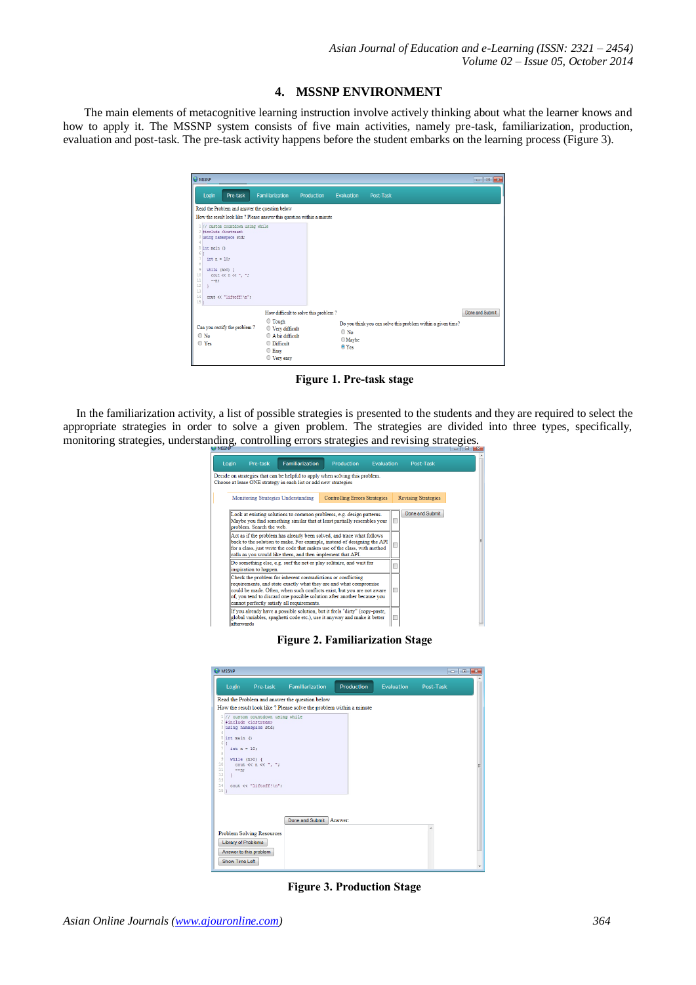#### **4. MSSNP ENVIRONMENT**

The main elements of metacognitive learning instruction involve actively thinking about what the learner knows and how to apply it. The MSSNP system consists of five main activities, namely pre-task, familiarization, production, evaluation and post-task. The pre-task activity happens before the student embarks on the learning process (Figure 3).

| <b>O</b> MSSNP                                                                                                                                                                                                                                                                                                                                  |                                                                                        |                                                                                                      |                                      |                                                |           |                                                              | $  x$           |  |  |
|-------------------------------------------------------------------------------------------------------------------------------------------------------------------------------------------------------------------------------------------------------------------------------------------------------------------------------------------------|----------------------------------------------------------------------------------------|------------------------------------------------------------------------------------------------------|--------------------------------------|------------------------------------------------|-----------|--------------------------------------------------------------|-----------------|--|--|
| Login                                                                                                                                                                                                                                                                                                                                           | Pre-task                                                                               | Familiarization                                                                                      | Production                           | Evaluation                                     | Post-Task |                                                              |                 |  |  |
| Read the Problem and answer the question below                                                                                                                                                                                                                                                                                                  |                                                                                        |                                                                                                      |                                      |                                                |           |                                                              |                 |  |  |
| How the result look like ? Please answer this question within a minute                                                                                                                                                                                                                                                                          |                                                                                        |                                                                                                      |                                      |                                                |           |                                                              |                 |  |  |
| 2 #include <iostream><br/>3 using namespace std;<br/><math>5</math> int main <math>()</math><br/>61<br/><math>\overline{ }</math><br/>int <math>n = 10</math>;<br/>8<br/><math>\mathbb{Q}</math><br/>while <math>(n&gt;0)</math> {<br/>10<br/><math display="inline">11\,</math><br/><math>--n:</math><br/>12<br/>13<br/>14<br/>15 1</iostream> | 1 // custom countdown using while<br>cout $\ll$ n $\ll$ ", ";<br>cout << "liftoff!\n"; |                                                                                                      |                                      |                                                |           |                                                              |                 |  |  |
|                                                                                                                                                                                                                                                                                                                                                 |                                                                                        |                                                                                                      | How difficult to solve this problem? |                                                |           |                                                              | Done and Submit |  |  |
| $\circ$ No<br>$\circ$ Yes                                                                                                                                                                                                                                                                                                                       | Can you rectify the problem?                                                           | $\bigcirc$ Tough<br>◎ Very difficult<br>A bit difficult<br><b>Difficult</b><br>C Easy<br>○ Very easy |                                      | $\bigcirc$ No<br><b>O</b> Maybe<br>$\odot$ Yes |           | Do you think you can solve this problem within a given time? |                 |  |  |

**Figure 1. Pre-task stage**

In the familiarization activity, a list of possible strategies is presented to the students and they are required to select the appropriate strategies in order to solve a given problem. The strategies are divided into three types, specifically, monitoring strategies, understanding, controlling errors strategies and revising strategies.

| Login | Pre-task                                                                                                                                                                                                                                                                                    | <b>Familiarization</b>                                          | Production                                                                                                                                                                                                                                                                             | <b>Fvaluation</b> |   | Post-Task                  |
|-------|---------------------------------------------------------------------------------------------------------------------------------------------------------------------------------------------------------------------------------------------------------------------------------------------|-----------------------------------------------------------------|----------------------------------------------------------------------------------------------------------------------------------------------------------------------------------------------------------------------------------------------------------------------------------------|-------------------|---|----------------------------|
|       |                                                                                                                                                                                                                                                                                             | Choose at lease ONE strategy in each list or add new strategies | Decide on strategies that can be helpful to apply when solving this problem.                                                                                                                                                                                                           |                   |   |                            |
|       |                                                                                                                                                                                                                                                                                             | Monitoring Strategies Understanding                             | <b>Controlling Errors Strategies</b>                                                                                                                                                                                                                                                   |                   |   | <b>Revising Strategies</b> |
|       | problem. Search the web.                                                                                                                                                                                                                                                                    |                                                                 | Look at existing solutions to common problems, e.g. design patterns.<br>Maybe you find something similar that at least partially resembles your                                                                                                                                        |                   | □ | Done and Submit            |
|       | Act as if the problem has already been solved, and trace what follows<br>back to the solution to make. For example, instead of designing the API<br>for a class, just write the code that makes use of the class, with method<br>calls as you would like them, and then implement that API. |                                                                 |                                                                                                                                                                                                                                                                                        |                   |   |                            |
|       | inspiration to happen.                                                                                                                                                                                                                                                                      |                                                                 | Do something else, e.g. surf the net or play solitaire, and wait for                                                                                                                                                                                                                   |                   |   |                            |
|       |                                                                                                                                                                                                                                                                                             | cannot perfectly satisfy all requirements.                      | Check the problem for inherent contradictions or conflicting<br>requirements, and state exactly what they are and what compromise<br>could be made. Often, when such conflicts exist, but you are not aware<br>of, you tend to discard one possible solution after another because you |                   | □ |                            |
|       | a <del>ftermed</del> e                                                                                                                                                                                                                                                                      |                                                                 | If you already have a possible solution, but it feels "dirty" (copy-paste,<br>global variables, spaghetti code etc.), use it anyway and make it better                                                                                                                                 |                   | Ľ |                            |

**Figure 2. Familiarization Stage**

| <b>O</b> MSSNP                                |                                                                                                |                                                                     |            |            | $-10$     |
|-----------------------------------------------|------------------------------------------------------------------------------------------------|---------------------------------------------------------------------|------------|------------|-----------|
| Login                                         | Pre-task                                                                                       | Familiarization                                                     | Production | Evaluation | Post-Task |
|                                               |                                                                                                | Read the Problem and answer the question below                      |            |            |           |
|                                               |                                                                                                | How the result look like ? Please solve the problem within a minute |            |            |           |
| $5$ int main ()<br>6 <sup>1</sup>             | // custom countdown using while<br>2 #include <iostream><br/>3 using namespace std;</iostream> |                                                                     |            |            |           |
| int $n = 10$ ;<br>while $(n>0)$ {<br>$---n$ : | cout $\ll$ n $\ll$ ". ":                                                                       |                                                                     |            |            |           |
|                                               | cout << "liftoff!\n";                                                                          |                                                                     |            |            |           |
|                                               |                                                                                                |                                                                     |            |            |           |
|                                               |                                                                                                | Done and Submit                                                     | Answert    |            |           |
|                                               | <b>Problem Solving Resources</b>                                                               |                                                                     |            |            |           |
| <b>Library of Problems</b>                    |                                                                                                |                                                                     |            |            |           |
|                                               | Answer to this problem                                                                         |                                                                     |            |            |           |
| <b>Show Time Left</b>                         |                                                                                                |                                                                     |            |            |           |

**Figure 3. Production Stage**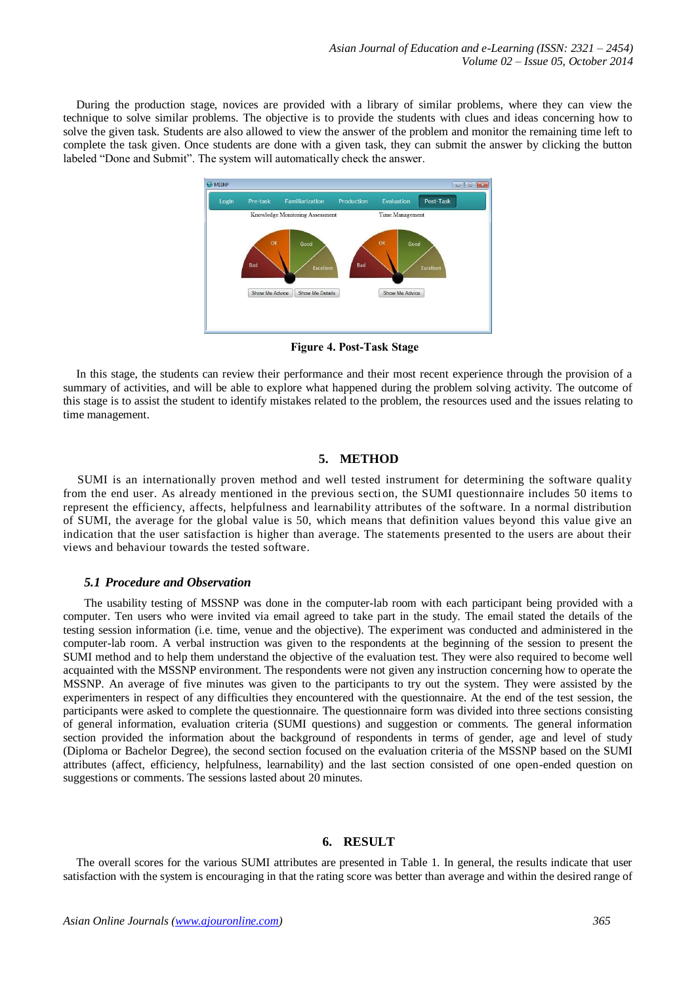During the production stage, novices are provided with a library of similar problems, where they can view the technique to solve similar problems. The objective is to provide the students with clues and ideas concerning how to solve the given task. Students are also allowed to view the answer of the problem and monitor the remaining time left to complete the task given. Once students are done with a given task, they can submit the answer by clicking the button labeled "Done and Submit". The system will automatically check the answer.



**Figure 4. Post-Task Stage**

In this stage, the students can review their performance and their most recent experience through the provision of a summary of activities, and will be able to explore what happened during the problem solving activity. The outcome of this stage is to assist the student to identify mistakes related to the problem, the resources used and the issues relating to time management.

## **5. METHOD**

SUMI is an internationally proven method and well tested instrument for determining the software quality from the end user. As already mentioned in the previous section, the SUMI questionnaire includes 50 items to represent the efficiency, affects, helpfulness and learnability attributes of the software. In a normal distribution of SUMI, the average for the global value is 50, which means that definition values beyond this value give an indication that the user satisfaction is higher than average. The statements presented to the users are about their views and behaviour towards the tested software.

# *5.1 Procedure and Observation*

The usability testing of MSSNP was done in the computer-lab room with each participant being provided with a computer. Ten users who were invited via email agreed to take part in the study. The email stated the details of the testing session information (i.e. time, venue and the objective). The experiment was conducted and administered in the computer-lab room. A verbal instruction was given to the respondents at the beginning of the session to present the SUMI method and to help them understand the objective of the evaluation test. They were also required to become well acquainted with the MSSNP environment. The respondents were not given any instruction concerning how to operate the MSSNP. An average of five minutes was given to the participants to try out the system. They were assisted by the experimenters in respect of any difficulties they encountered with the questionnaire. At the end of the test session, the participants were asked to complete the questionnaire. The questionnaire form was divided into three sections consisting of general information, evaluation criteria (SUMI questions) and suggestion or comments. The general information section provided the information about the background of respondents in terms of gender, age and level of study (Diploma or Bachelor Degree), the second section focused on the evaluation criteria of the MSSNP based on the SUMI attributes (affect, efficiency, helpfulness, learnability) and the last section consisted of one open-ended question on suggestions or comments. The sessions lasted about 20 minutes.

#### **6. RESULT**

The overall scores for the various SUMI attributes are presented in Table 1. In general, the results indicate that user satisfaction with the system is encouraging in that the rating score was better than average and within the desired range of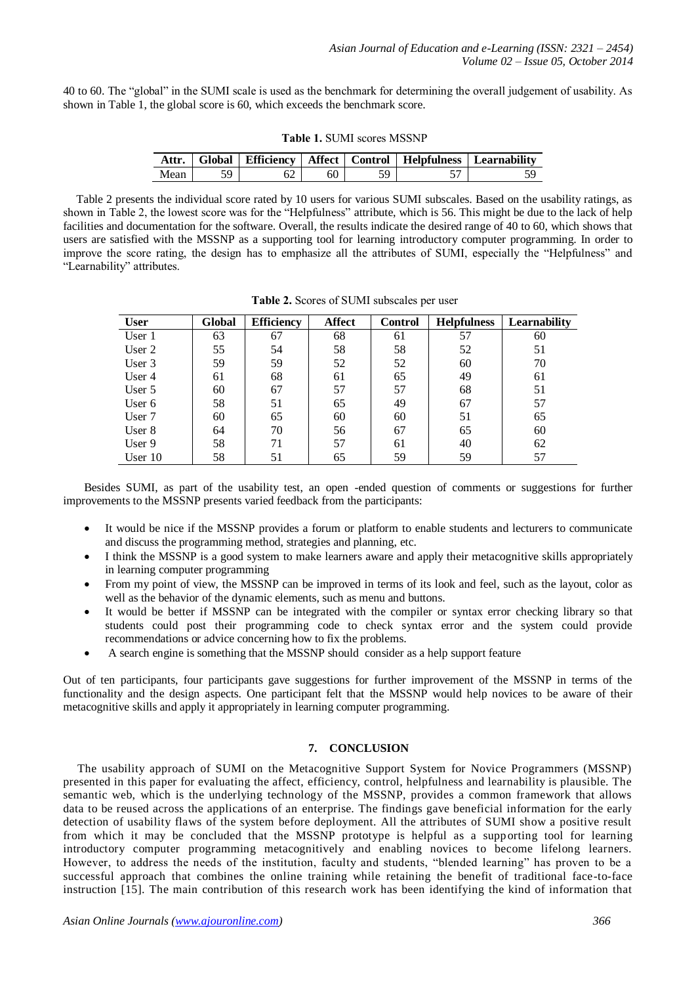40 to 60. The "global" in the SUMI scale is used as the benchmark for determining the overall judgement of usability. As shown in Table 1, the global score is 60, which exceeds the benchmark score.

| <b>Table 1. SUMI scores MSSNP</b> |  |  |  |
|-----------------------------------|--|--|--|
|-----------------------------------|--|--|--|

| Attr. |  |  | Global   Efficiency   Affect   Control   Helpfulness   Learnability |
|-------|--|--|---------------------------------------------------------------------|
| Mean  |  |  |                                                                     |

Table 2 presents the individual score rated by 10 users for various SUMI subscales. Based on the usability ratings, as shown in Table 2, the lowest score was for the "Helpfulness" attribute, which is 56. This might be due to the lack of help facilities and documentation for the software. Overall, the results indicate the desired range of 40 to 60, which shows that users are satisfied with the MSSNP as a supporting tool for learning introductory computer programming. In order to improve the score rating, the design has to emphasize all the attributes of SUMI, especially the "Helpfulness" and "Learnability" attributes.

| <b>User</b> | Global | <b>Efficiency</b> | <b>Affect</b> | <b>Control</b> | <b>Helpfulness</b> | Learnability |
|-------------|--------|-------------------|---------------|----------------|--------------------|--------------|
| User 1      | 63     | 67                | 68            | 61             | 57                 | 60           |
| User $2$    | 55     | 54                | 58            | 58             | 52                 | 51           |
| User 3      | 59     | 59                | 52            | 52             | 60                 | 70           |
| User 4      | 61     | 68                | 61            | 65             | 49                 | 61           |
| User $5$    | 60     | 67                | 57            | 57             | 68                 | 51           |
| User $6$    | 58     | 51                | 65            | 49             | 67                 | 57           |
| User 7      | 60     | 65                | 60            | 60             | 51                 | 65           |
| User 8      | 64     | 70                | 56            | 67             | 65                 | 60           |
| User 9      | 58     | 71                | 57            | 61             | 40                 | 62           |
| User $10$   | 58     | 51                | 65            | 59             | 59                 | 57           |

**Table 2.** Scores of SUMI subscales per user

Besides SUMI, as part of the usability test, an open -ended question of comments or suggestions for further improvements to the MSSNP presents varied feedback from the participants:

- It would be nice if the MSSNP provides a forum or platform to enable students and lecturers to communicate and discuss the programming method, strategies and planning, etc.
- I think the MSSNP is a good system to make learners aware and apply their metacognitive skills appropriately in learning computer programming
- From my point of view, the MSSNP can be improved in terms of its look and feel, such as the layout, color as well as the behavior of the dynamic elements, such as menu and buttons.
- It would be better if MSSNP can be integrated with the compiler or syntax error checking library so that students could post their programming code to check syntax error and the system could provide recommendations or advice concerning how to fix the problems.
- A search engine is something that the MSSNP should consider as a help support feature

Out of ten participants, four participants gave suggestions for further improvement of the MSSNP in terms of the functionality and the design aspects. One participant felt that the MSSNP would help novices to be aware of their metacognitive skills and apply it appropriately in learning computer programming.

## **7. CONCLUSION**

The usability approach of SUMI on the Metacognitive Support System for Novice Programmers (MSSNP) presented in this paper for evaluating the affect, efficiency, control, helpfulness and learnability is plausible. The semantic web, which is the underlying technology of the MSSNP, provides a common framework that allows data to be reused across the applications of an enterprise. The findings gave beneficial information for the early detection of usability flaws of the system before deployment. All the attributes of SUMI show a positive result from which it may be concluded that the MSSNP prototype is helpful as a supporting tool for learning introductory computer programming metacognitively and enabling novices to become lifelong learners. However, to address the needs of the institution, faculty and students, "blended learning" has proven to be a successful approach that combines the online training while retaining the benefit of traditional face-to-face instruction [15]. The main contribution of this research work has been identifying the kind of information that